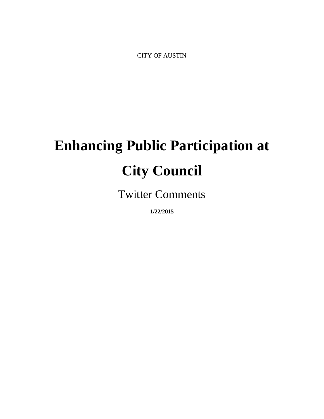CITY OF AUSTIN

# **Enhancing Public Participation at City Council**

Twitter Comments

**1/22/2015**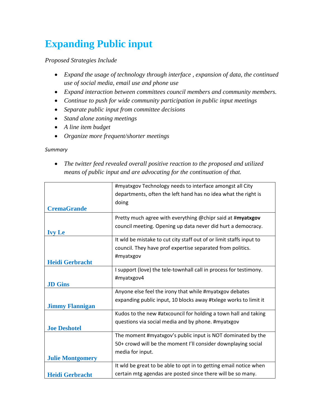# **Expanding Public input**

*Proposed Strategies Include*

- *Expand the usage of technology through interface , expansion of data, the continued use of social media, email use and phone use*
- *Expand interaction between committees council members and community members.*
- *Continue to push for wide community participation in public input meetings*
- *Separate public input from committee decisions*
- *Stand alone zoning meetings*
- *A line item budget*
- *Organize more frequent/shorter meetings*

#### *Summary*

 *The twitter feed revealed overall positive reaction to the proposed and utilized means of public input and are advocating for the continuation of that.*

|                         | #myatxgov Technology needs to interface amongst all City            |
|-------------------------|---------------------------------------------------------------------|
|                         | departments, often the left hand has no idea what the right is      |
|                         | doing                                                               |
| <b>CremaGrande</b>      |                                                                     |
|                         | Pretty much agree with everything @chipr said at #myatxgov          |
|                         | council meeting. Opening up data never did hurt a democracy.        |
| <b>Ivy Le</b>           |                                                                     |
|                         | It wid be mistake to cut city staff out of or limit staffs input to |
|                         | council. They have prof expertise separated from politics.          |
|                         | #myatxgov                                                           |
| <b>Heidi Gerbracht</b>  |                                                                     |
|                         | I support (love) the tele-townhall call in process for testimony.   |
|                         | #myatxgov4                                                          |
| <b>JD</b> Gins          |                                                                     |
|                         | Anyone else feel the irony that while #myatxgov debates             |
|                         | expanding public input, 10 blocks away #txlege works to limit it    |
| <b>Jimmy Flannigan</b>  |                                                                     |
|                         | Kudos to the new #atxcouncil for holding a town hall and taking     |
|                         | questions via social media and by phone. #myatxgov                  |
| <b>Joe Deshotel</b>     |                                                                     |
|                         | The moment #myatxgov's public input is NOT dominated by the         |
|                         | 50+ crowd will be the moment I'll consider downplaying social       |
|                         | media for input.                                                    |
| <b>Julie Montgomery</b> |                                                                     |
|                         | It wld be great to be able to opt in to getting email notice when   |
| <b>Heidi Gerbracht</b>  | certain mtg agendas are posted since there will be so many.         |
|                         |                                                                     |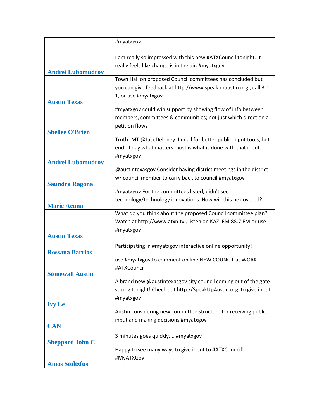|                          | #myatxgov                                                                                                                                              |
|--------------------------|--------------------------------------------------------------------------------------------------------------------------------------------------------|
| <b>Andrei Lubomudrov</b> | I am really so impressed with this new #ATXCouncil tonight. It<br>really feels like change is in the air. #myatxgov                                    |
| <b>Austin Texas</b>      | Town Hall on proposed Council committees has concluded but<br>you can give feedback at http://www.speakupaustin.org, call 3-1-<br>1, or use #myatxgov. |
| <b>Shellee O'Brien</b>   | #myatxgov could win support by showing flow of info between<br>members, committees & communities; not just which direction a<br>petition flows         |
| <b>Andrei Lubomudrov</b> | Truth! MT @JaceDeloney: I'm all for better public input tools, but<br>end of day what matters most is what is done with that input.<br>#myatxgov       |
| <b>Saundra Ragona</b>    | @austintexasgov Consider having district meetings in the district<br>w/ council member to carry back to council #myatxgov                              |
| <b>Marie Acuna</b>       | #myatxgov For the committees listed, didn't see<br>technology/technology innovations. How will this be covered?                                        |
| <b>Austin Texas</b>      | What do you think about the proposed Council committee plan?<br>Watch at http://www.atxn.tv, listen on KAZI FM 88.7 FM or use<br>#myatxgov             |
| <b>Rossana Barrios</b>   | Participating in #myatxgov interactive online opportunity!                                                                                             |
| <b>Stonewall Austin</b>  | use #myatxgov to comment on line NEW COUNCIL at WORK<br>#ATXCouncil                                                                                    |
| <b>Ivy Le</b>            | A brand new @austintexasgov city council coming out of the gate<br>strong tonight! Check out http://SpeakUpAustin.org to give input.<br>#myatxgov      |
| <b>CAN</b>               | Austin considering new committee structure for receiving public<br>input and making decisions #myatxgov                                                |
| <b>Sheppard John C</b>   | 3 minutes goes quickly #myatxgov                                                                                                                       |
| <b>Amos Stoltzfus</b>    | Happy to see many ways to give input to #ATXCouncil!<br>#MyATXGov                                                                                      |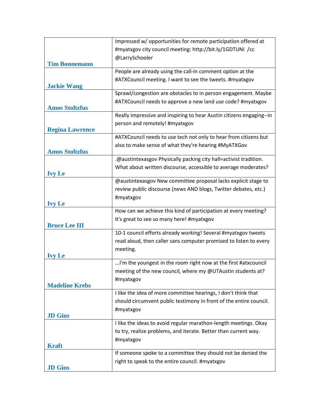|                        | Impressed w/ opportunities for remote participation offered at       |
|------------------------|----------------------------------------------------------------------|
|                        | #myatxgov city council meeting: http://bit.ly/1GDTUNI /cc            |
|                        | @LarrySchooler                                                       |
| <b>Tim Bonnemann</b>   |                                                                      |
|                        | People are already using the call-in comment option at the           |
| <b>Jackie Wang</b>     | #ATXCouncil meeting. I want to see the tweets. #myatxgov             |
|                        | Sprawl/congestion are obstacles to in person engagement. Maybe       |
|                        | #ATXCouncil needs to approve a new land use code? #myatxgov          |
| <b>Amos Stoltzfus</b>  |                                                                      |
|                        | Really impressive and inspiring to hear Austin citizens engaging--in |
|                        | person and remotely! #myatxgov                                       |
| <b>Regina Lawrence</b> |                                                                      |
|                        | #ATXCouncil needs to use tech not only to hear from citizens but     |
| <b>Amos Stoltzfus</b>  | also to make sense of what they're hearing #MyATXGov                 |
|                        | .@austintexasgov Physically packing city hall=activist tradition.    |
|                        | What about written discourse, accessible to average moderates?       |
| <b>Ivy Le</b>          |                                                                      |
|                        | @austintexasgov New committee proposal lacks explicit stage to       |
|                        | review public discourse (news AND blogs, Twitter debates, etc.)      |
|                        | #myatxgov                                                            |
| <b>Ivy Le</b>          | How can we achieve this kind of participation at every meeting?      |
|                        |                                                                      |
| <b>Bruce Lee III</b>   | It's great to see so many here! #myatxgov                            |
|                        | 10-1 council efforts already working! Several #myatxgov tweets       |
|                        | read aloud, then caller sans computer promised to listen to every    |
|                        | meeting.                                                             |
| <b>Ivy Le</b>          |                                                                      |
|                        | I'm the youngest in the room right now at the first #atxcouncil      |
|                        | meeting of the new council, where my @UTAustin students at?          |
| <b>Madeline Krebs</b>  | #myatxgov                                                            |
|                        | I like the idea of more committee hearings, I don't think that       |
|                        | should circumvent public testimony in front of the entire council.   |
|                        | #myatxgov                                                            |
| <b>JD</b> Gins         |                                                                      |
|                        | I like the ideas to avoid regular marathon-length meetings. Okay     |
|                        | to try, realize problems, and iterate. Better than current way.      |
|                        | #myatxgov                                                            |
| <b>Kraft</b>           |                                                                      |
|                        | If someone spoke to a committee they should not be denied the        |
| <b>JD</b> Gins         | right to speak to the entire council. #myatxgov                      |
|                        |                                                                      |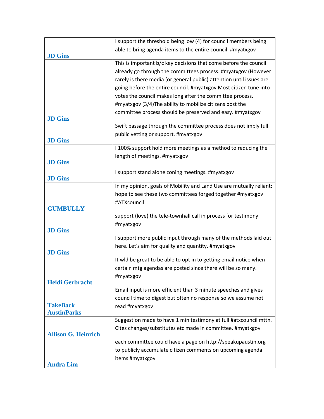|                            | I support the threshold being low (4) for council members being      |
|----------------------------|----------------------------------------------------------------------|
|                            | able to bring agenda items to the entire council. #myatxgov          |
| <b>JD</b> Gins             |                                                                      |
|                            | This is important b/c key decisions that come before the council     |
|                            | already go through the committees process. #myatxgov (However        |
|                            | rarely is there media (or general public) attention until issues are |
|                            | going before the entire council. #myatxgov Most citizen tune into    |
|                            | votes the council makes long after the committee process.            |
|                            | #myatxgov (3/4)The ability to mobilize citizens post the             |
| <b>JD</b> Gins             | committee process should be preserved and easy. #myatxgov            |
|                            | Swift passage through the committee process does not imply full      |
|                            | public vetting or support. #myatxgov                                 |
| <b>JD</b> Gins             |                                                                      |
|                            | I 100% support hold more meetings as a method to reducing the        |
|                            | length of meetings. #myatxgov                                        |
| <b>JD</b> Gins             |                                                                      |
|                            | I support stand alone zoning meetings. #myatxgov                     |
| <b>JD</b> Gins             | In my opinion, goals of Mobility and Land Use are mutually reliant;  |
|                            | hope to see these two committees forged together #myatxgov           |
|                            | #ATXcouncil                                                          |
| <b>GUMBULLY</b>            |                                                                      |
|                            | support (love) the tele-townhall call in process for testimony.      |
|                            | #myatxgov                                                            |
| <b>JD</b> Gins             |                                                                      |
|                            | I support more public input through many of the methods laid out     |
|                            | here. Let's aim for quality and quantity. #myatxgov                  |
| <b>JD</b> Gins             |                                                                      |
|                            | It wid be great to be able to opt in to getting email notice when    |
|                            | certain mtg agendas are posted since there will be so many.          |
| <b>Heidi Gerbracht</b>     | #myatxgov                                                            |
|                            | Email input is more efficient than 3 minute speeches and gives       |
|                            | council time to digest but often no response so we assume not        |
| <b>TakeBack</b>            | read #myatxgov                                                       |
| <b>AustinParks</b>         |                                                                      |
|                            | Suggestion made to have 1 min testimony at full #atxcouncil mttn.    |
|                            | Cites changes/substitutes etc made in committee. #myatxgov           |
| <b>Allison G. Heinrich</b> |                                                                      |
|                            | each committee could have a page on http://speakupaustin.org         |
|                            | to publicly accumulate citizen comments on upcoming agenda           |
|                            | items #myatxgov                                                      |
| <b>Andra Lim</b>           |                                                                      |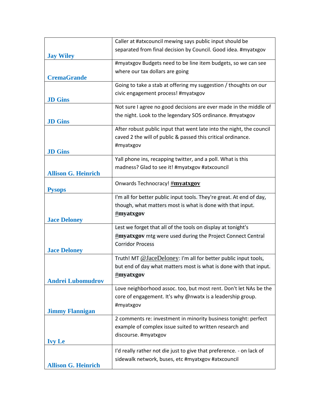|                            | Caller at #atxcouncil mewing says public input should be             |
|----------------------------|----------------------------------------------------------------------|
|                            | separated from final decision by Council. Good idea. #myatxgov       |
| <b>Jay Wiley</b>           |                                                                      |
|                            | #myatxgov Budgets need to be line item budgets, so we can see        |
| <b>CremaGrande</b>         | where our tax dollars are going                                      |
|                            | Going to take a stab at offering my suggestion / thoughts on our     |
|                            | civic engagement process! #myatxgov                                  |
| <b>JD</b> Gins             |                                                                      |
|                            | Not sure I agree no good decisions are ever made in the middle of    |
|                            | the night. Look to the legendary SOS ordinance. #myatxgov            |
| <b>JD</b> Gins             |                                                                      |
|                            | After robust public input that went late into the night, the council |
|                            | caved 2 the will of public & passed this critical ordinance.         |
|                            | #myatxgov                                                            |
| <b>JD Gins</b>             |                                                                      |
|                            | Yall phone ins, recapping twitter, and a poll. What is this          |
| <b>Allison G. Heinrich</b> | madness? Glad to see it! #myatxgov #atxcouncil                       |
|                            |                                                                      |
| <b>Pysops</b>              | Onwards Technocracy! #myatxgov                                       |
|                            | I'm all for better public input tools. They're great. At end of day, |
|                            | though, what matters most is what is done with that input.           |
|                            | #myatxgov                                                            |
| <b>Jace Deloney</b>        |                                                                      |
|                            | Lest we forget that all of the tools on display at tonight's         |
|                            | #myatxgov mtg were used during the Project Connect Central           |
|                            | <b>Corridor Process</b>                                              |
| <b>Jace Deloney</b>        |                                                                      |
|                            | Truth! MT @JaceDeloney: I'm all for better public input tools,       |
|                            | but end of day what matters most is what is done with that input.    |
|                            | #myatxgov                                                            |
| <b>Andrei Lubomudrov</b>   |                                                                      |
|                            | Love neighborhood assoc. too, but most rent. Don't let NAs be the    |
|                            | core of engagement. It's why @nwatx is a leadership group.           |
|                            | #myatxgov                                                            |
| <b>Jimmy Flannigan</b>     |                                                                      |
|                            | 2 comments re: investment in minority business tonight: perfect      |
|                            | example of complex issue suited to written research and              |
| <b>Ivy Le</b>              | discourse. #myatxgov                                                 |
|                            |                                                                      |
|                            | I'd really rather not die just to give that preference. - on lack of |
| <b>Allison G. Heinrich</b> | sidewalk network, buses, etc #myatxgov #atxcouncil                   |
|                            |                                                                      |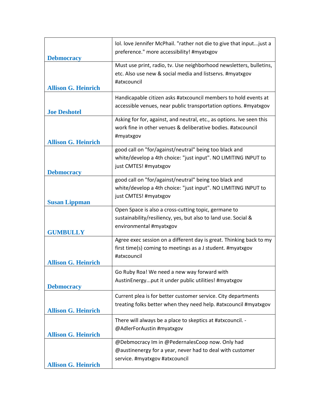| <b>Debmocracy</b>          | lol. love Jennifer McPhail. "rather not die to give that input just a<br>preference." more accessibility! #myatxgov                                |
|----------------------------|----------------------------------------------------------------------------------------------------------------------------------------------------|
| <b>Allison G. Heinrich</b> | Must use print, radio, tv. Use neighborhood newsletters, bulletins,<br>etc. Also use new & social media and listservs. #myatxgov<br>#atxcouncil    |
| <b>Joe Deshotel</b>        | Handicapable citizen asks #atxcouncil members to hold events at<br>accessible venues, near public transportation options. #myatxgov                |
| <b>Allison G. Heinrich</b> | Asking for for, against, and neutral, etc., as options. Ive seen this<br>work fine in other venues & deliberative bodies. #atxcouncil<br>#myatxgov |
| <b>Debmocracy</b>          | good call on "for/against/neutral" being too black and<br>white/develop a 4th choice: "just input". NO LIMITING INPUT to<br>just CMTES! #myatxgov  |
| <b>Susan Lippman</b>       | good call on "for/against/neutral" being too black and<br>white/develop a 4th choice: "just input". NO LIMITING INPUT to<br>just CMTES! #myatxgov  |
| <b>GUMBULLY</b>            | Open Space is also a cross-cutting topic, germane to<br>sustainability/resiliency, yes, but also to land use. Social &<br>environmental #myatxgov  |
| <b>Allison G. Heinrich</b> | Agree exec session on a different day is great. Thinking back to my<br>first time(s) coming to meetings as a J student. #myatxgov<br>#atxcouncil   |
| <b>Debmocracy</b>          | Go Ruby Roa! We need a new way forward with<br>AustinEnergyput it under public utilities! #myatxgov                                                |
| <b>Allison G. Heinrich</b> | Current plea is for better customer service. City departments<br>treating folks better when they need help. #atxcouncil #myatxgov                  |
| <b>Allison G. Heinrich</b> | There will always be a place to skeptics at #atxcouncil. -<br>@AdlerForAustin #myatxgov                                                            |
| <b>Allison G. Heinrich</b> | @Debmocracy Im in @PedernalesCoop now. Only had<br>@austinenergy for a year, never had to deal with customer<br>service. #myatxgov #atxcouncil     |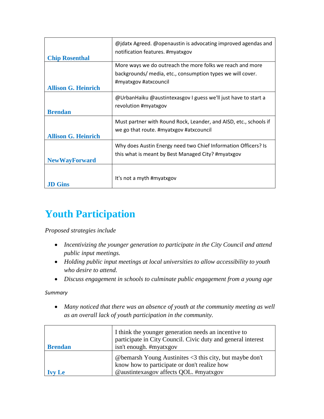| <b>Chip Rosenthal</b>      | @jdatx Agreed. @openaustin is advocating improved agendas and<br>notification features. #myatxgov                                                |
|----------------------------|--------------------------------------------------------------------------------------------------------------------------------------------------|
| <b>Allison G. Heinrich</b> | More ways we do outreach the more folks we reach and more<br>backgrounds/ media, etc., consumption types we will cover.<br>#myatxgov #atxcouncil |
| <b>Brendan</b>             | @UrbanHaiku @austintexasgov I guess we'll just have to start a<br>revolution #myatxgov                                                           |
| <b>Allison G. Heinrich</b> | Must partner with Round Rock, Leander, and AISD, etc., schools if<br>we go that route. #myatxgov #atxcouncil                                     |
| <b>NewWayForward</b>       | Why does Austin Energy need two Chief Information Officers? Is<br>this what is meant by Best Managed City? #myatxgov                             |
| .ID Gins                   | It's not a myth #myatxgov                                                                                                                        |

## **Youth Participation**

*Proposed strategies include*

- *Incentivizing the younger generation to participate in the City Council and attend public input meetings.*
- *Holding public input meetings at local universities to allow accessibility to youth who desire to attend.*
- *Discuss engagement in schools to culminate public engagement from a young age*

*Summary*

 *Many noticed that there was an absence of youth at the community meeting as well as an overall lack of youth participation in the community.* 

| <b>Brendan</b> | I think the younger generation needs an incentive to<br>participate in City Council. Civic duty and general interest<br>isn't enough. #myatxgov                      |
|----------------|----------------------------------------------------------------------------------------------------------------------------------------------------------------------|
|                | @ bemarsh Young Austinities $\langle 3 \rangle$ this city, but maybe don't<br>know how to participate or don't realize how<br>@austintexasgov affects QOL. #myatxgov |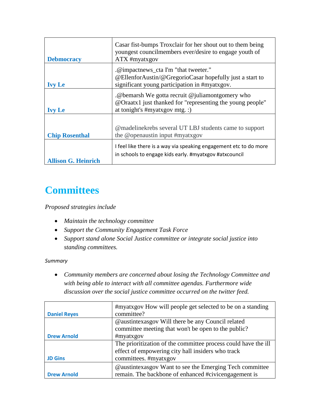| <b>Debmocracy</b>          | Casar fist-bumps Troxclair for her shout out to them being<br>youngest councilmembers ever/desire to engage youth of<br>ATX #myatxgov             |
|----------------------------|---------------------------------------------------------------------------------------------------------------------------------------------------|
| <b>Ivy Le</b>              | .@impactnews_cta I'm "that tweeter."<br>@EllenforAustin/@GregorioCasar hopefully just a start to<br>significant young participation in #myatxgov. |
| <b>Ivy Le</b>              | .@bemarsh We gotta recruit @juliamontgomery who<br>@Oraatx1 just thanked for "representing the young people"<br>at tonight's #myatxgov mtg. :)    |
| <b>Chip Rosenthal</b>      | @madelinekrebs several UT LBJ students came to support<br>the @openaustin input #myatxgov                                                         |
| <b>Allison G. Heinrich</b> | I feel like there is a way via speaking engagement etc to do more<br>in schools to engage kids early. #myatxgov #atxcouncil                       |

## **Committees**

### *Proposed strategies include*

- *Maintain the technology committee*
- *Support the Community Engagement Task Force*
- *Support stand alone Social Justice committee or integrate social justice into standing committees.*

#### *Summary*

 *Community members are concerned about losing the Technology Committee and with being able to interact with all committee agendas. Furthermore wide discussion over the social justice committee occurred on the twitter feed.* 

| <b>Daniel Reyes</b> | #myatxgov How will people get selected to be on a standing<br>committee? |
|---------------------|--------------------------------------------------------------------------|
|                     |                                                                          |
|                     | @austintexasgov Will there be any Council related                        |
|                     | committee meeting that won't be open to the public?                      |
| <b>Drew Arnold</b>  | #myatxgov                                                                |
|                     | The prioritization of the committee process could have the ill           |
|                     | effect of empowering city hall insiders who track                        |
| <b>JD Gins</b>      | committees. #myatxgov                                                    |
|                     | @austintexasgov Want to see the Emerging Tech committee                  |
| <b>Drew Arnold</b>  | remain. The backbone of enhanced #civicengagement is                     |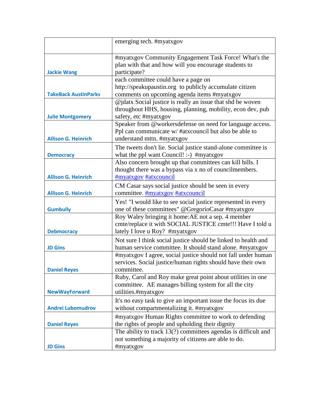|                             | emerging tech. #myatxgov                                                                                                                         |
|-----------------------------|--------------------------------------------------------------------------------------------------------------------------------------------------|
| <b>Jackie Wang</b>          | #myatxgov Community Engagement Task Force! What's the<br>plan with that and how will you encourage students to<br>participate?                   |
|                             | each committee could have a page on                                                                                                              |
|                             | http://speakupaustin.org to publicly accumulate citizen                                                                                          |
| <b>TakeBack AustinParks</b> | comments on upcoming agenda items #myatxgov                                                                                                      |
|                             | @jdatx Social justice is really an issue that shd be woven                                                                                       |
|                             | throughout HHS, housing, planning, mobility, econ dev, pub                                                                                       |
| <b>Julie Montgomery</b>     | safety, etc #myatxgov                                                                                                                            |
| <b>Allison G. Heinrich</b>  | Speaker from @workersdefense on need for language access.<br>Ppl can communicate w/#atxcouncil but also be able to<br>understand mttn. #myatxgov |
|                             | The tweets don't lie. Social justice stand-alone committee is                                                                                    |
| <b>Democracy</b>            | what the ppl want Council! :-) #myatxgov                                                                                                         |
|                             | Also concern brought up that committees can kill bills. I                                                                                        |
|                             | thought there was a bypass via x no of councilmembers.                                                                                           |
| <b>Allison G. Heinrich</b>  | #myatxgov #atxcouncil                                                                                                                            |
|                             | CM Casar says social justice should be seen in every                                                                                             |
| <b>Allison G. Heinrich</b>  | committee. #myatxgov #atxcouncil                                                                                                                 |
|                             | Yes! "I would like to see social justice represented in every                                                                                    |
| <b>Gumbully</b>             | one of these committees" @GregorioCasar #myatxgov                                                                                                |
|                             | Roy Waley bringing it home: AE not a sep. 4 member                                                                                               |
|                             | cmte/replace it with SOCIAL JUSTICE cmte!!! Have I told u                                                                                        |
| <b>Debmocracy</b>           | lately I love u Roy? #myatxgov                                                                                                                   |
|                             | Not sure I think social justice should be linked to health and                                                                                   |
| <b>JD Gins</b>              | human service committee. It should stand alone. #myatxgov                                                                                        |
|                             | #myatxgov I agree, social justice should not fall under human                                                                                    |
|                             | services. Social justice/human rights should have their own                                                                                      |
| <b>Daniel Reyes</b>         | committee.                                                                                                                                       |
|                             | Ruby, Carol and Roy make great point about utilities in one                                                                                      |
| <b>NewWayForward</b>        | committee. AE manages billing system for all the city<br>utilities.#myatxgov                                                                     |
|                             |                                                                                                                                                  |
| <b>Andrei Lubomudrov</b>    | It's no easy task to give an important issue the focus its due<br>without compartmentalizing it. #myatxgov                                       |
| <b>Daniel Reyes</b>         | #myatxgov Human Rights committee to work to defending<br>the rights of people and upholding their dignity                                        |
|                             | The ability to track $13(?)$ committees agendas is difficult and                                                                                 |
|                             | not something a majority of citizens are able to do.                                                                                             |
| <b>JD Gins</b>              | #myatxgov                                                                                                                                        |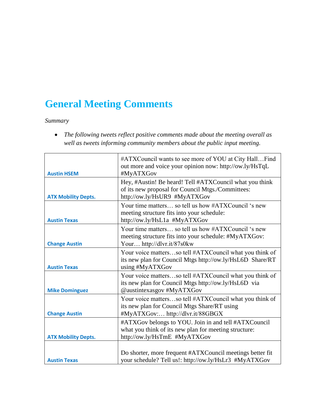## **General Meeting Comments**

## *Summary*

 *The following tweets reflect positive comments made about the meeting overall as well as tweets informing community members about the public input meeting.* 

| <b>Austin HSEM</b>         | #ATXCouncil wants to see more of YOU at City HallFind<br>out more and voice your opinion now: http://ow.ly/HsTqL<br>#MyATXGov                 |
|----------------------------|-----------------------------------------------------------------------------------------------------------------------------------------------|
| <b>ATX Mobility Depts.</b> | Hey, #Austin! Be heard! Tell #ATXCouncil what you think<br>of its new proposal for Council Mtgs./Committees:<br>http://ow.ly/HsUR9 #MyATXGov  |
| <b>Austin Texas</b>        | Your time matters so tell us how #ATXCouncil 's new<br>meeting structure fits into your schedule:<br>http://ow.ly/HsL1a #MyATXGov             |
| <b>Change Austin</b>       | Your time matters so tell us how #ATXCouncil 's new<br>meeting structure fits into your schedule: #MyATXGov:<br>Your http://dlvr.it/87s0kw    |
| <b>Austin Texas</b>        | Your voice mattersso tell #ATXCouncil what you think of<br>its new plan for Council Mtgs http://ow.ly/HsL6D Share/RT<br>using #MyATXGov       |
| <b>Mike Dominguez</b>      | Your voice mattersso tell #ATXCouncil what you think of<br>its new plan for Council Mtgs http://ow.ly/HsL6D via<br>@austintexasgov #MyATXGov  |
| <b>Change Austin</b>       | Your voice mattersso tell #ATXCouncil what you think of<br>its new plan for Council Mtgs Share/RT using<br>#MyATXGov: http://dlvr.it/88GBGX   |
| <b>ATX Mobility Depts.</b> | #ATXGov belongs to YOU. Join in and tell #ATXCouncil<br>what you think of its new plan for meeting structure:<br>http://ow.ly/HsTmE #MyATXGov |
| <b>Austin Texas</b>        | Do shorter, more frequent #ATXCouncil meetings better fit<br>your schedule? Tell us!: http://ow.ly/HsLr3 #MyATXGov                            |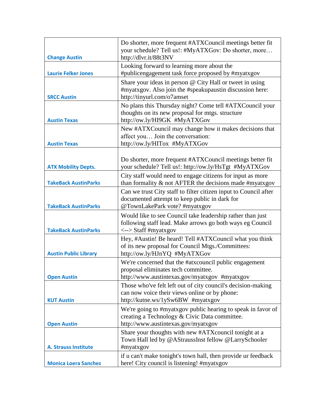| <b>Change Austin</b>         | Do shorter, more frequent #ATXCouncil meetings better fit<br>your schedule? Tell us!: #MyATXGov: Do shorter, more<br>http://dlvr.it/88t3NV                     |
|------------------------------|----------------------------------------------------------------------------------------------------------------------------------------------------------------|
| <b>Laurie Felker Jones</b>   | Looking forward to learning more about the<br>#publicengagement task force proposed by #myatxgov                                                               |
| <b>SRCC Austin</b>           | Share your ideas in person @ City Hall or tweet in using<br>#myatxgov. Also join the #speakupaustin discussion here:<br>http://tinyurl.com/o7amset             |
| <b>Austin Texas</b>          | No plans this Thursday night? Come tell #ATXCouncil your<br>thoughts on its new proposal for mtgs. structure<br>http://ow.ly/HI9GK #MyATXGov                   |
| <b>Austin Texas</b>          | New #ATXCouncil may change how it makes decisions that<br>affect you Join the conversation:<br>http://ow.ly/HITox #MyATXGov                                    |
| <b>ATX Mobility Depts.</b>   | Do shorter, more frequent #ATXCouncil meetings better fit<br>your schedule? Tell us!: http://ow.ly/HsTgt #MyATXGov                                             |
| <b>TakeBack AustinParks</b>  | City staff would need to engage citizens for input as more<br>than formality $\&$ not AFTER the decisions made #myatxgov                                       |
| <b>TakeBack AustinParks</b>  | Can we trust City staff to filter citizen input to Council after<br>documented attempt to keep public in dark for<br>@TownLakePark vote? #myatxgov             |
| <b>TakeBack AustinParks</b>  | Would like to see Council take leadership rather than just<br>following staff lead. Make arrows go both ways eg Council<br>$\langle - \rangle$ Staff #myatxgov |
| <b>Austin Public Library</b> | Hey, #Austin! Be heard! Tell #ATXCouncil what you think<br>of its new proposal for Council Mtgs./Committees:<br>http://ow.ly/HJnYQ #MyATXGov                   |
| <b>Open Austin</b>           | We're concerned that the #atxcouncil public engagement<br>proposal eliminates tech committee.<br>http://www.austintexas.gov/myatxgov #myatxgov                 |
| <b>KUT Austin</b>            | Those who've felt left out of city council's decision-making<br>can now voice their views online or by phone:<br>http://kutne.ws/1ySw6BW #myatxgov             |
| <b>Open Austin</b>           | We're going to #myatxgov public hearing to speak in favor of<br>creating a Technology & Civic Data committee.<br>http://www.austintexas.gov/myatxgov           |
| <b>A. Strauss Institute</b>  | Share your thoughts with new #ATX council tonight at a<br>Town Hall led by @AStraussInst fellow @LarrySchooler<br>#myatxgov                                    |
| <b>Monica Loera Sanchez</b>  | if u can't make tonight's town hall, then provide ur feedback<br>here! City council is listening! #myatxgov                                                    |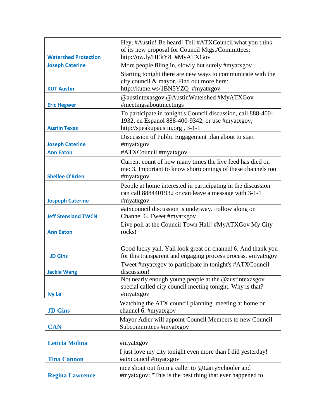|                             | Hey, #Austin! Be heard! Tell #ATXCouncil what you think<br>of its new proposal for Council Mtgs./Committees:                                         |
|-----------------------------|------------------------------------------------------------------------------------------------------------------------------------------------------|
| <b>Watershed Protection</b> | http://ow.ly/HEkY8 #MyATXGov                                                                                                                         |
| <b>Joseph Caterine</b>      | More people filing in, slowly but surely #myatxgov                                                                                                   |
| <b>KUT Austin</b>           | Starting tonight there are new ways to communicate with the<br>city council & mayor. Find out more here:<br>http://kutne.ws/1BN5YZQ #myatxgov        |
|                             | @austintexasgov @AustinWatershed #MyATXGov                                                                                                           |
| <b>Eric Hegwer</b>          | #meetingsaboutmeetings                                                                                                                               |
| <b>Austin Texas</b>         | To participate in tonight's Council discussion, call 888-400-<br>1932, en Espanol 888-400-9342, or use #myatxgov,<br>http://speakupaustin.org, 3-1-1 |
|                             | Discussion of Public Engagement plan about to start                                                                                                  |
| <b>Joseph Caterine</b>      | #myatxgov                                                                                                                                            |
| <b>Ann Eaton</b>            | #ATXCouncil #myatxgov                                                                                                                                |
| <b>Shellee O'Brien</b>      | Current count of how many times the live feed has died on<br>me: 3. Important to know shortcomings of these channels too<br>#myatxgov                |
| <b>Jospeph Caterine</b>     | People at home interested in participating in the discussion<br>can call 8884401932 or can leave a message with 3-1-1<br>#myatxgov                   |
| <b>Jeff Stensland TWCN</b>  | #atxcouncil discussion is underway. Follow along on<br>Channel 6. Tweet #myatxgov                                                                    |
| <b>Ann Eaton</b>            | Live poll at the Council Town Hall! #MyATXGov My City<br>rocks!                                                                                      |
|                             |                                                                                                                                                      |
| <b>JD Gins</b>              | Good lucky yall. Yall look great on channel 6. And thank you<br>for this transparent and engaging process process. #myatxgov                         |
| <b>Jackie Wang</b>          | Tweet #myatxgov to participate in tonight's #ATXCouncil<br>discussion!                                                                               |
| <b>Ivy Le</b>               | Not nearly enough young people at the @austintexasgov<br>special called city council meeting tonight. Why is that?<br>#myatxgov                      |
| <b>JD</b> Gins              | Watching the ATX council planning meeting at home on<br>channel 6. #myatxgov                                                                         |
| <b>CAN</b>                  | Mayor Adler will appoint Council Members to new Council<br>Subcommittees #myatxgov                                                                   |
| <b>Leticia Molina</b>       | #myatxgov                                                                                                                                            |
|                             | I just love my city tonight even more than I did yesterday!                                                                                          |
| <b>Tina Cannon</b>          | #atxcouncil #myatxgov                                                                                                                                |
| <b>Regina Lawrence</b>      | nice shout out from a caller to @LarrySchooler and<br>#myatxgov: "This is the best thing that ever happened to                                       |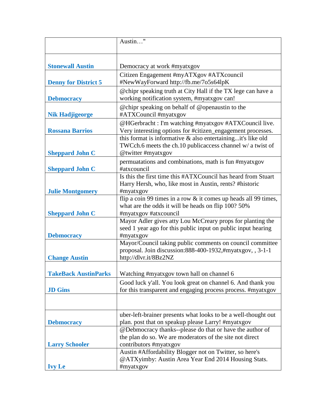|                             | Austin"                                                                                                                                            |
|-----------------------------|----------------------------------------------------------------------------------------------------------------------------------------------------|
| <b>Stonewall Austin</b>     | Democracy at work #myatxgov                                                                                                                        |
| <b>Denny for District 5</b> | Citizen Engagement #myATXgov #ATXcouncil<br>#NewWayForward http://fb.me/7o5s64lpK                                                                  |
| <b>Debmocracy</b>           | @chipr speaking truth at City Hall if the TX lege can have a<br>working notification system, #myatxgov can!                                        |
| <b>Nik Hadjigeorge</b>      | @chipr speaking on behalf of @openaustin to the<br>#ATXCouncil #myatxgov                                                                           |
| <b>Rossana Barrios</b>      | @HGerbracht: I'm watching #myatxgov #ATXCouncil live.<br>Very interesting options for #citizen_engagement processes.                               |
| <b>Sheppard John C</b>      | this format is informative $\&$ also entertainingit's like old<br>TWCch.6 meets the ch.10 publicaccess channel w/ a twist of<br>@twitter #myatxgov |
| <b>Sheppard John C</b>      | permuatations and combinations, math is fun #myatxgov<br>#atxcouncil                                                                               |
| <b>Julie Montgomery</b>     | Is this the first time this #ATXCouncil has heard from Stuart<br>Harry Hersh, who, like most in Austin, rents? #historic<br>#myatxgov              |
| <b>Sheppard John C</b>      | flip a coin 99 times in a row & it comes up heads all 99 times,<br>what are the odds it will be heads on flip 100? 50%<br>#myatxgov #atxcouncil    |
| <b>Debmocracy</b>           | Mayor Adler gives atty Lou McCreary props for planting the<br>seed 1 year ago for this public input on public input hearing<br>#myatxgov           |
| <b>Change Austin</b>        | Mayor/Council taking public comments on council committee<br>proposal. Join discussion: 888-400-1932, #myatxgov, , 3-1-1<br>http://dlvr.it/8Bz2NZ  |
| <b>TakeBack AustinParks</b> | Watching #myatxgov town hall on channel 6                                                                                                          |
| <b>JD</b> Gins              | Good luck y'all. You look great on channel 6. And thank you<br>for this transparent and engaging process process. #myatxgov                        |
|                             |                                                                                                                                                    |
| <b>Debmocracy</b>           | uber-left-brainer presents what looks to be a well-thought out<br>plan. post that on speakup please Larry! #myatxgov                               |
| <b>Larry Schooler</b>       | @Debmocracy thanks--please do that or have the author of<br>the plan do so. We are moderators of the site not direct<br>contributors #myatxgov     |
| <b>Ivy Le</b>               | Austin #Affordability Blogger not on Twitter, so here's<br>@ATXyimby: Austin Area Year End 2014 Housing Stats.<br>#myatxgov                        |